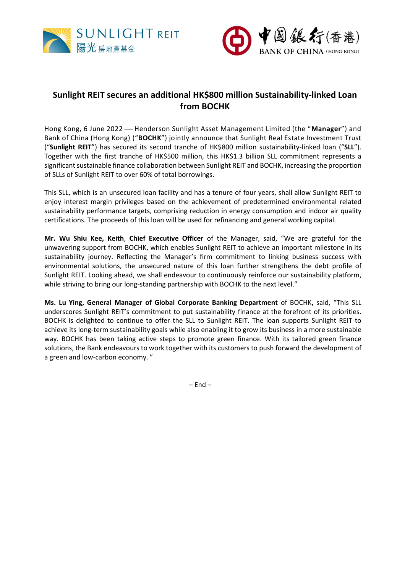



# **Sunlight REIT secures an additional HK\$800 million Sustainability-linked Loan from BOCHK**

Hong Kong, 6 June 2022 – Henderson Sunlight Asset Management Limited (the "Manager") and Bank of China (Hong Kong) ("**BOCHK**") jointly announce that Sunlight Real Estate Investment Trust ("**Sunlight REIT**") has secured its second tranche of HK\$800 million sustainability-linked loan ("**SLL**"). Together with the first tranche of HK\$500 million, this HK\$1.3 billion SLL commitment represents a significant sustainable finance collaboration between Sunlight REIT and BOCHK, increasing the proportion of SLLs of Sunlight REIT to over 60% of total borrowings.

This SLL, which is an unsecured loan facility and has a tenure of four years, shall allow Sunlight REIT to enjoy interest margin privileges based on the achievement of predetermined environmental related sustainability performance targets, comprising reduction in energy consumption and indoor air quality certifications. The proceeds of this loan will be used for refinancing and general working capital.

**Mr. Wu Shiu Kee, Keith**, **Chief Executive Officer** of the Manager, said, "We are grateful for the unwavering support from BOCHK, which enables Sunlight REIT to achieve an important milestone in its sustainability journey. Reflecting the Manager's firm commitment to linking business success with environmental solutions, the unsecured nature of this loan further strengthens the debt profile of Sunlight REIT. Looking ahead, we shall endeavour to continuously reinforce our sustainability platform, while striving to bring our long-standing partnership with BOCHK to the next level."

**Ms. Lu Ying, General Manager of Global Corporate Banking Department** of BOCHK**,** said, "This SLL underscores Sunlight REIT's commitment to put sustainability finance at the forefront of its priorities. BOCHK is delighted to continue to offer the SLL to Sunlight REIT. The loan supports Sunlight REIT to achieve its long-term sustainability goals while also enabling it to grow its business in a more sustainable way. BOCHK has been taking active steps to promote green finance. With its tailored green finance solutions, the Bank endeavours to work together with its customers to push forward the development of a green and low-carbon economy. "

 $-$  End  $-$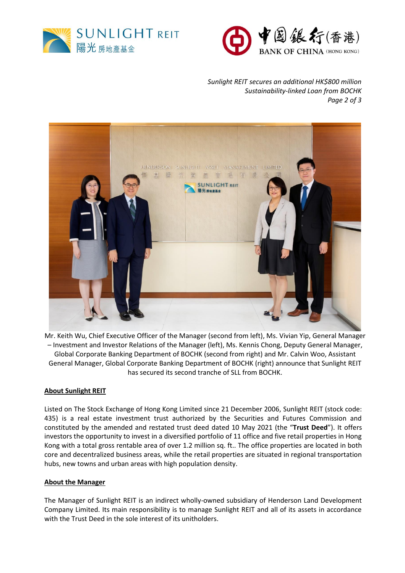



*Sunlight REIT secures an additional HK\$800 million Sustainability-linked Loan from BOCHK Page 2 of 3*



Mr. Keith Wu, Chief Executive Officer of the Manager (second from left), Ms. Vivian Yip, General Manager – Investment and Investor Relations of the Manager (left), Ms. Kennis Chong, Deputy General Manager, Global Corporate Banking Department of BOCHK (second from right) and Mr. Calvin Woo, Assistant General Manager, Global Corporate Banking Department of BOCHK (right) announce that Sunlight REIT has secured its second tranche of SLL from BOCHK.

### **About Sunlight REIT**

Listed on The Stock Exchange of Hong Kong Limited since 21 December 2006, Sunlight REIT (stock code: 435) is a real estate investment trust authorized by the Securities and Futures Commission and constituted by the amended and restated trust deed dated 10 May 2021 (the "**Trust Deed**"). It offers investors the opportunity to invest in a diversified portfolio of 11 office and five retail properties in Hong Kong with a total gross rentable area of over 1.2 million sq. ft.. The office properties are located in both core and decentralized business areas, while the retail properties are situated in regional transportation hubs, new towns and urban areas with high population density.

### **About the Manager**

The Manager of Sunlight REIT is an indirect wholly-owned subsidiary of Henderson Land Development Company Limited. Its main responsibility is to manage Sunlight REIT and all of its assets in accordance with the Trust Deed in the sole interest of its unitholders.